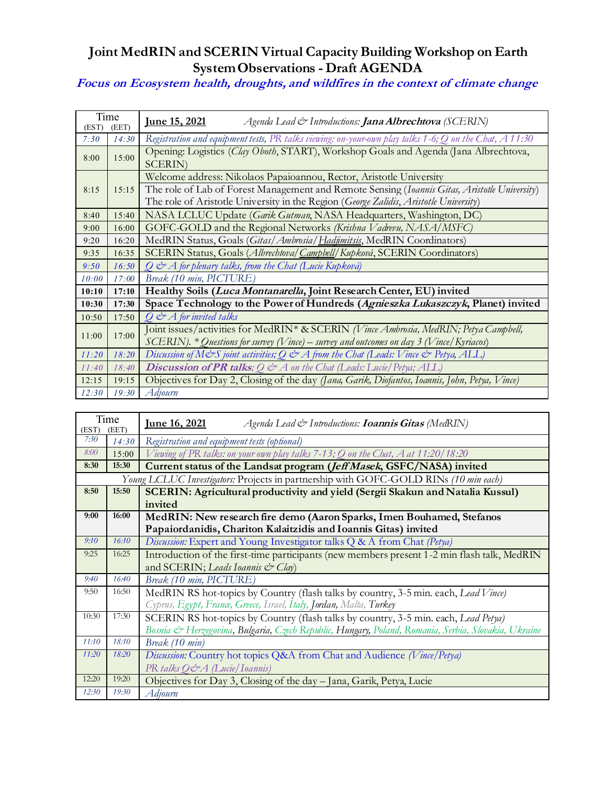## **Joint MedRIN and SCERIN Virtual CapacityBuilding Workshop on Earth SystemObservations - Draft AGENDA**

**Focus on Ecosystem health, droughts, and wildfires in the context of climate change**

| Time<br>(EST)<br>(EET) |       | <u>Iune 15, 2021</u><br>Agenda Lead & Introductions: Jana Albrechtova (SCERIN)                                                                                                         |  |  |
|------------------------|-------|----------------------------------------------------------------------------------------------------------------------------------------------------------------------------------------|--|--|
| 7:30                   | 14:30 | Registration and equipment tests, PR talks viewing: on-your-own play talks $1$ -6; Q on the Chat, $A$ 11:30                                                                            |  |  |
| 8:00                   | 15:00 | Opening: Logistics (Clay Oboth, START), Workshop Goals and Agenda (Jana Albrechtova,<br><b>SCERIN</b> )                                                                                |  |  |
| 8:15                   | 15:15 | Welcome address: Nikolaos Papaioannou, Rector, Aristotle University                                                                                                                    |  |  |
|                        |       | The role of Lab of Forest Management and Remote Sensing (Ioannis Gitas, Aristotle University)<br>The role of Aristotle University in the Region (George Zalidis, Aristotle University) |  |  |
| 8:40                   | 15:40 | NASA LCLUC Update (Garik Gutman, NASA Headquarters, Washington, DC)                                                                                                                    |  |  |
| 9:00                   | 16:00 | GOFC-GOLD and the Regional Networks (Krishna Vadrevu, NASA/MSFC)                                                                                                                       |  |  |
| 9:20                   | 16:20 | MedRIN Status, Goals (Gitas/Ambrosia/Hadümitsis, MedRIN Coordinators)                                                                                                                  |  |  |
| 9:35                   | 16:35 | SCERIN Status, Goals (Albrechtoval Campbell/Kupková, SCERIN Coordinators)                                                                                                              |  |  |
| 9:50                   | 16:50 | Q & A for plenary talks, from the Chat (Lucie Kupková)                                                                                                                                 |  |  |
| 10:00                  | 17:00 | Break (10 min, PICTURE)                                                                                                                                                                |  |  |
| 10:10                  | 17:10 | Healthy Soils (Luca Montanarella, Joint Research Center, EU) invited                                                                                                                   |  |  |
| 10:30                  | 17:30 | Space Technology to the Power of Hundreds (Agnieszka Lukaszczyk, Planet) invited                                                                                                       |  |  |
| 10:50                  | 17:50 | $Q \n\mathcal{Q} A$ for invited talks                                                                                                                                                  |  |  |
| 11:00                  | 17:00 | Joint issues/activities for MedRIN* & SCERIN (Vince Ambrosia, MedRIN; Petya Campbell,                                                                                                  |  |  |
|                        |       | SCERIN). * Questions for survey (Vince) – survey and outcomes on day 3 (Vince/Kyriacos)                                                                                                |  |  |
| 11:20                  | 18:20 | Discussion of M&S joint activities; Q & A from the Chat (Leads: Vince & Petya, ALL)                                                                                                    |  |  |
| 11:40                  | 18:40 | <b>Discussion of PR talks</b> ; $Q \, \text{d}^{\infty} A$ on the Chat (Leads: Lucie/Petya; ALL)                                                                                       |  |  |
| 12:15                  | 19:15 | Objectives for Day 2, Closing of the day (Jana, Garik, Diofantos, Ioannis, John, Petya, Vince)                                                                                         |  |  |
| 12:30                  | 19:30 | Adjourn                                                                                                                                                                                |  |  |

| Time<br>(EET)<br>(EST) |       | <u>Iune 16, 2021</u><br>Agenda Lead & Introductions: <b>Ioannis Gitas</b> (MedRIN)                  |  |  |
|------------------------|-------|-----------------------------------------------------------------------------------------------------|--|--|
| 7:30                   | 14:30 | Registration and equipment tests (optional)                                                         |  |  |
| 8:00                   | 15:00 | Viewing of PR talks: on your own play talks 7-13; Q on the Chat, A at 11:20/18:20                   |  |  |
| 8:30                   | 15:30 | Current status of the Landsat program (Jeff Masek, GSFC/NASA) invited                               |  |  |
|                        |       | Young LCLUC Investigators: Projects in partnership with GOFC-GOLD RINs (10 min each)                |  |  |
| 8:50                   | 15:50 | SCERIN: Agricultural productivity and yield (Sergii Skakun and Natalia Kussul)                      |  |  |
|                        |       | invited                                                                                             |  |  |
| 9:00                   | 16:00 | MedRIN: New research fire demo (Aaron Sparks, Imen Bouhamed, Stefanos                               |  |  |
|                        |       | Papaiordanidis, Chariton Kalaitzidis and Ioannis Gitas) invited                                     |  |  |
| 9:10                   | 16:10 | Discussion: Expert and Young Investigator talks Q & A from Chat (Petya)                             |  |  |
| 9:25                   | 16:25 | Introduction of the first-time participants (new members present 1-2 min flash talk, MedRIN         |  |  |
|                        |       | and SCERIN; Leads Ioannis & Clay)                                                                   |  |  |
| 9:40                   | 16:40 | Break (10 min, PICTURE)                                                                             |  |  |
| 9:50                   | 16:50 | MedRIN RS hot-topics by Country (flash talks by country, 3-5 min. each, Lead Vince)                 |  |  |
|                        |       | Cyprus, Egypt, France, Greece, Israel, Italy, Jordan, Malta, Turkey                                 |  |  |
| 10:30                  | 17:30 | SCERIN RS hot-topics by Country (flash talks by country, 3-5 min. each, Lead Petya)                 |  |  |
|                        |       | Bosnia & Herzegovina, Bulgaria, Czech Republic, Hungary, Poland, Romania, Serbia, Slovakia, Ukraine |  |  |
| 11:10                  | 18:10 | Break (10 min)                                                                                      |  |  |
| 11:20                  | 18:20 | Discussion: Country hot topics Q&A from Chat and Audience (Vince/Petya)                             |  |  |
|                        |       | PR talks Q&A (Lucie/Ioannis)                                                                        |  |  |
| 12:20                  | 19:20 | Objectives for Day 3, Closing of the day – Jana, Garik, Petya, Lucie                                |  |  |
| 12:30                  | 19:30 | Adjourn                                                                                             |  |  |